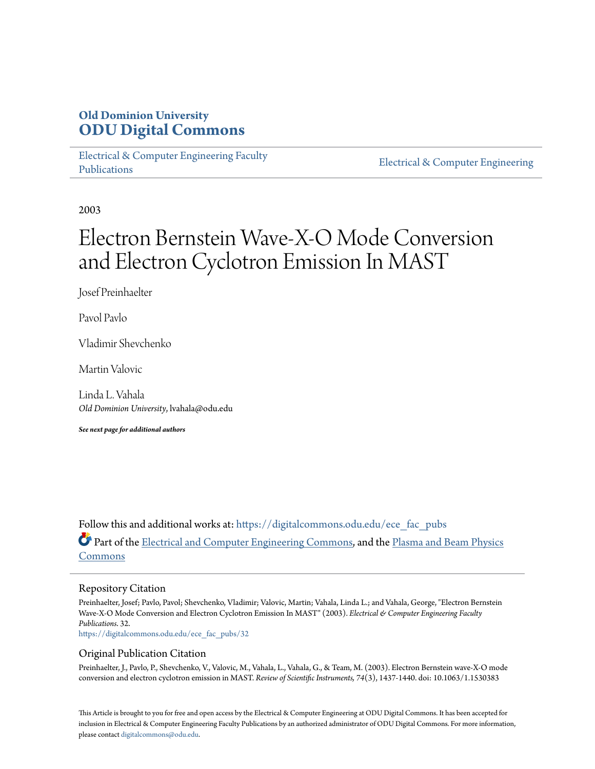# **Old Dominion University [ODU Digital Commons](https://digitalcommons.odu.edu?utm_source=digitalcommons.odu.edu%2Fece_fac_pubs%2F32&utm_medium=PDF&utm_campaign=PDFCoverPages)**

[Electrical & Computer Engineering Faculty](https://digitalcommons.odu.edu/ece_fac_pubs?utm_source=digitalcommons.odu.edu%2Fece_fac_pubs%2F32&utm_medium=PDF&utm_campaign=PDFCoverPages) [Publications](https://digitalcommons.odu.edu/ece_fac_pubs?utm_source=digitalcommons.odu.edu%2Fece_fac_pubs%2F32&utm_medium=PDF&utm_campaign=PDFCoverPages)

[Electrical & Computer Engineering](https://digitalcommons.odu.edu/ece?utm_source=digitalcommons.odu.edu%2Fece_fac_pubs%2F32&utm_medium=PDF&utm_campaign=PDFCoverPages)

2003

# Electron Bernstein Wave-X-O Mode Conversion and Electron Cyclotron Emission In MAST

Josef Preinhaelter

Pavol Pavlo

Vladimir Shevchenko

Martin Valovic

Linda L. Vahala *Old Dominion University*, lvahala@odu.edu

*See next page for additional authors*

Follow this and additional works at: [https://digitalcommons.odu.edu/ece\\_fac\\_pubs](https://digitalcommons.odu.edu/ece_fac_pubs?utm_source=digitalcommons.odu.edu%2Fece_fac_pubs%2F32&utm_medium=PDF&utm_campaign=PDFCoverPages) Part of the [Electrical and Computer Engineering Commons](http://network.bepress.com/hgg/discipline/266?utm_source=digitalcommons.odu.edu%2Fece_fac_pubs%2F32&utm_medium=PDF&utm_campaign=PDFCoverPages), and the [Plasma and Beam Physics](http://network.bepress.com/hgg/discipline/205?utm_source=digitalcommons.odu.edu%2Fece_fac_pubs%2F32&utm_medium=PDF&utm_campaign=PDFCoverPages) [Commons](http://network.bepress.com/hgg/discipline/205?utm_source=digitalcommons.odu.edu%2Fece_fac_pubs%2F32&utm_medium=PDF&utm_campaign=PDFCoverPages)

# Repository Citation

Preinhaelter, Josef; Pavlo, Pavol; Shevchenko, Vladimir; Valovic, Martin; Vahala, Linda L.; and Vahala, George, "Electron Bernstein Wave-X-O Mode Conversion and Electron Cyclotron Emission In MAST" (2003). *Electrical & Computer Engineering Faculty Publications*. 32.

[https://digitalcommons.odu.edu/ece\\_fac\\_pubs/32](https://digitalcommons.odu.edu/ece_fac_pubs/32?utm_source=digitalcommons.odu.edu%2Fece_fac_pubs%2F32&utm_medium=PDF&utm_campaign=PDFCoverPages)

# Original Publication Citation

Preinhaelter, J., Pavlo, P., Shevchenko, V., Valovic, M., Vahala, L., Vahala, G., & Team, M. (2003). Electron Bernstein wave-X-O mode conversion and electron cyclotron emission in MAST. *Review of Scientific Instruments, 74*(3), 1437-1440. doi: 10.1063/1.1530383

This Article is brought to you for free and open access by the Electrical & Computer Engineering at ODU Digital Commons. It has been accepted for inclusion in Electrical & Computer Engineering Faculty Publications by an authorized administrator of ODU Digital Commons. For more information, please contact [digitalcommons@odu.edu](mailto:digitalcommons@odu.edu).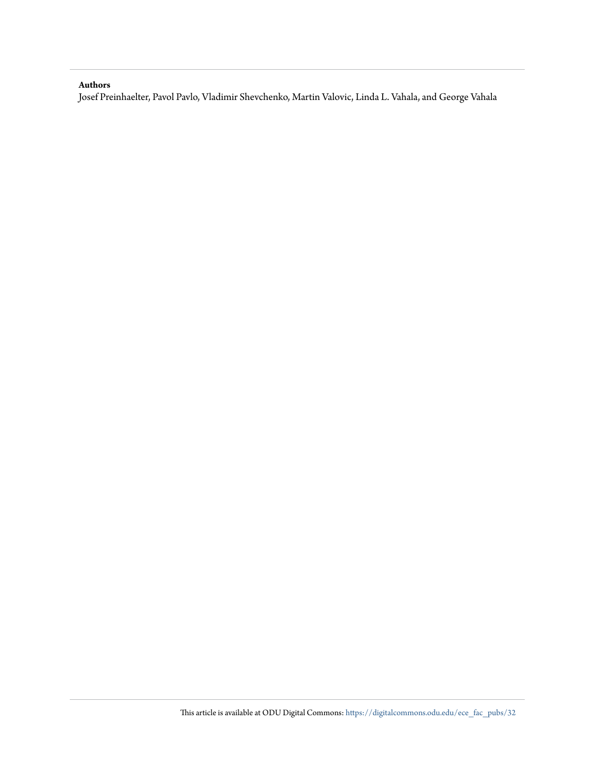# **Authors**

Josef Preinhaelter, Pavol Pavlo, Vladimir Shevchenko, Martin Valovic, Linda L. Vahala, and George Vahala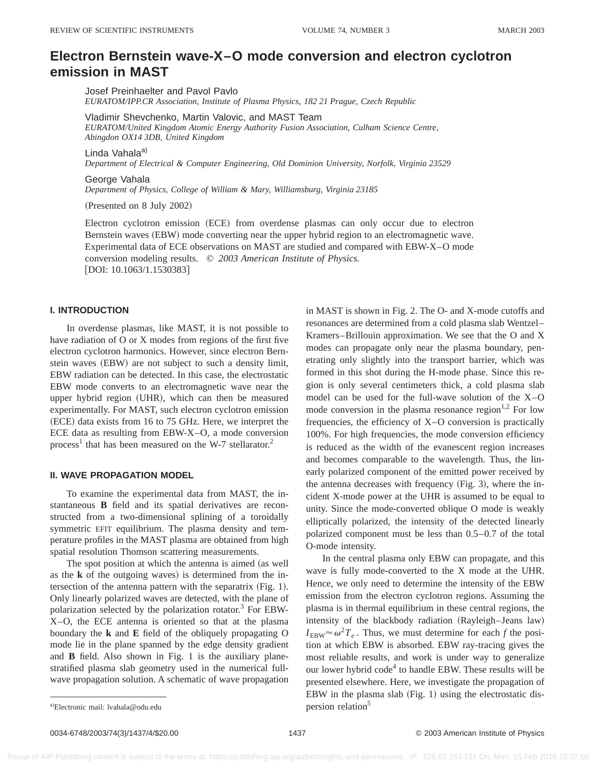# **Electron Bernstein wave-X–O mode conversion and electron cyclotron emission in MAST**

Josef Preinhaelter and Pavol Pavlo *EURATOM/IPP.CR Association, Institute of Plasma Physics, 182 21 Prague, Czech Republic*

Vladimir Shevchenko, Martin Valovic, and MAST Team *EURATOM/United Kingdom Atomic Energy Authority Fusion Association, Culham Science Centre, Abingdon OX14 3DB, United Kingdom*

Linda Vahala<sup>a)</sup> *Department of Electrical & Computer Engineering, Old Dominion University, Norfolk, Virginia 23529*

George Vahala *Department of Physics, College of William & Mary, Williamsburg, Virginia 23185*

(Presented on 8 July 2002)

Electron cyclotron emission (ECE) from overdense plasmas can only occur due to electron Bernstein waves (EBW) mode converting near the upper hybrid region to an electromagnetic wave. Experimental data of ECE observations on MAST are studied and compared with EBW-X–O mode conversion modeling results. © *2003 American Institute of Physics.*  $[DOI: 10.1063/1.1530383]$ 

#### **I. INTRODUCTION**

In overdense plasmas, like MAST, it is not possible to have radiation of O or X modes from regions of the first five electron cyclotron harmonics. However, since electron Bernstein waves (EBW) are not subject to such a density limit, EBW radiation can be detected. In this case, the electrostatic EBW mode converts to an electromagnetic wave near the upper hybrid region (UHR), which can then be measured experimentally. For MAST, such electron cyclotron emission (ECE) data exists from 16 to 75 GHz. Here, we interpret the ECE data as resulting from EBW-X–O, a mode conversion process<sup>1</sup> that has been measured on the W-7 stellarator.<sup>2</sup>

# **II. WAVE PROPAGATION MODEL**

To examine the experimental data from MAST, the instantaneous **B** field and its spatial derivatives are reconstructed from a two-dimensional splining of a toroidally symmetric EFIT equilibrium. The plasma density and temperature profiles in the MAST plasma are obtained from high spatial resolution Thomson scattering measurements.

The spot position at which the antenna is aimed (as well as the  $\bf{k}$  of the outgoing waves) is determined from the intersection of the antenna pattern with the separatrix  $(Fig. 1)$ . Only linearly polarized waves are detected, with the plane of polarization selected by the polarization rotator. $3$  For EBW-X–O, the ECE antenna is oriented so that at the plasma boundary the **k** and **E** field of the obliquely propagating O mode lie in the plane spanned by the edge density gradient and **B** field. Also shown in Fig. 1 is the auxiliary planestratified plasma slab geometry used in the numerical fullwave propagation solution. A schematic of wave propagation in MAST is shown in Fig. 2. The O- and X-mode cutoffs and resonances are determined from a cold plasma slab Wentzel– Kramers–Brillouin approximation. We see that the O and X modes can propagate only near the plasma boundary, penetrating only slightly into the transport barrier, which was formed in this shot during the H-mode phase. Since this region is only several centimeters thick, a cold plasma slab model can be used for the full-wave solution of the X–O mode conversion in the plasma resonance region $1.2$  For low frequencies, the efficiency of X–O conversion is practically 100%. For high frequencies, the mode conversion efficiency is reduced as the width of the evanescent region increases and becomes comparable to the wavelength. Thus, the linearly polarized component of the emitted power received by the antenna decreases with frequency  $(Fig. 3)$ , where the incident X-mode power at the UHR is assumed to be equal to unity. Since the mode-converted oblique O mode is weakly elliptically polarized, the intensity of the detected linearly polarized component must be less than 0.5–0.7 of the total O-mode intensity.

In the central plasma only EBW can propagate, and this wave is fully mode-converted to the X mode at the UHR. Hence, we only need to determine the intensity of the EBW emission from the electron cyclotron regions. Assuming the plasma is in thermal equilibrium in these central regions, the intensity of the blackbody radiation (Rayleigh–Jeans law)  $I_{\text{EBW}} \approx \omega^2 T_e$ . Thus, we must determine for each *f* the position at which EBW is absorbed. EBW ray-tracing gives the most reliable results, and work is under way to generalize our lower hybrid  $code<sup>4</sup>$  to handle EBW. These results will be presented elsewhere. Here, we investigate the propagation of EBW in the plasma slab (Fig. 1) using the electrostatic dis-

0034-6748/2003/74(3)/1437/4/\$20.00 © 2003 American Institute of Physics 1437

a)Electronic mail: lvahala@odu.edu persion relation  $\frac{5}{2}$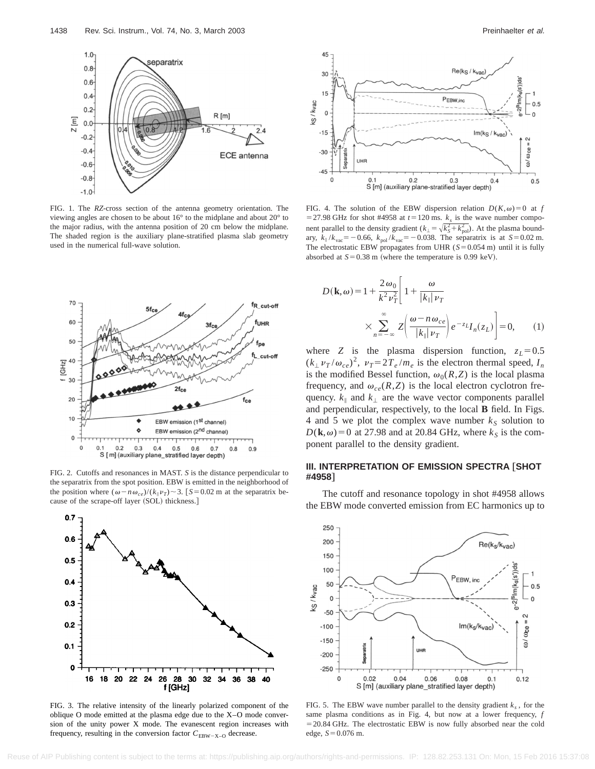

FIG. 1. The *RZ*-cross section of the antenna geometry orientation. The viewing angles are chosen to be about 16° to the midplane and about 20° to the major radius, with the antenna position of 20 cm below the midplane. The shaded region is the auxiliary plane-stratified plasma slab geometry used in the numerical full-wave solution.



FIG. 2. Cutoffs and resonances in MAST. *S* is the distance perpendicular to the separatrix from the spot position. EBW is emitted in the neighborhood of the position where  $(\omega - n\omega_{ce})/(k_{\parallel}v_T) \sim 3$ . [S=0.02 m at the separatrix because of the scrape-off layer (SOL) thickness.]



FIG. 3. The relative intensity of the linearly polarized component of the oblique O mode emitted at the plasma edge due to the X–O mode conversion of the unity power X mode. The evanescent region increases with frequency, resulting in the conversion factor  $C_{EBW-X-O}$  decrease.



FIG. 4. The solution of the EBW dispersion relation  $D(K, \omega) = 0$  at *f* = 27.98 GHz for shot #4958 at  $t=120$  ms.  $k<sub>s</sub>$  is the wave number component parallel to the density gradient  $(k_{\perp} = \sqrt{k_S^2 + k_{\text{pol}}^2})$ . At the plasma boundary,  $k_{\parallel}/k_{\text{vac}} = -0.66$ ,  $k_{\text{pol}}/k_{\text{vac}} = -0.038$ . The separatrix is at  $S = 0.02$  m. The electrostatic EBW propagates from UHR  $(S=0.054 \text{ m})$  until it is fully absorbed at  $S=0.38$  m (where the temperature is 0.99 keV).

$$
D(\mathbf{k}, \omega) = 1 + \frac{2 \omega_0}{k^2 \nu_T^2} \left[ 1 + \frac{\omega}{|k_{\parallel} | \nu_T} \times \sum_{n = -\infty}^{\infty} Z \left( \frac{\omega - n \omega_{ce}}{|k_{\parallel} | \nu_T} \right) e^{-z_L} I_n(z_L) \right] = 0, \quad (1)
$$

where *Z* is the plasma dispersion function,  $z_L = 0.5$  $(k_{\perp} \nu_T / \omega_{ce})^2$ ,  $\nu_T = 2T_e / m_e$  is the electron thermal speed,  $I_n$ is the modified Bessel function,  $\omega_0(R,Z)$  is the local plasma frequency, and  $\omega_{ce}(R,Z)$  is the local electron cyclotron frequency.  $k_{\parallel}$  and  $k_{\perp}$  are the wave vector components parallel and perpendicular, respectively, to the local **B** field. In Figs. 4 and 5 we plot the complex wave number  $k<sub>S</sub>$  solution to  $D(\mathbf{k}, \omega) = 0$  at 27.98 and at 20.84 GHz, where  $k_S$  is the component parallel to the density gradient.

# **III. INTERPRETATION OF EMISSION SPECTRA** †**SHOT #4958**‡

The cutoff and resonance topology in shot #4958 allows the EBW mode converted emission from EC harmonics up to



FIG. 5. The EBW wave number parallel to the density gradient  $k<sub>s</sub>$ , for the same plasma conditions as in Fig. 4, but now at a lower frequency, *f*  $=$  20.84 GHz. The electrostatic EBW is now fully absorbed near the cold edge,  $S = 0.076$  m.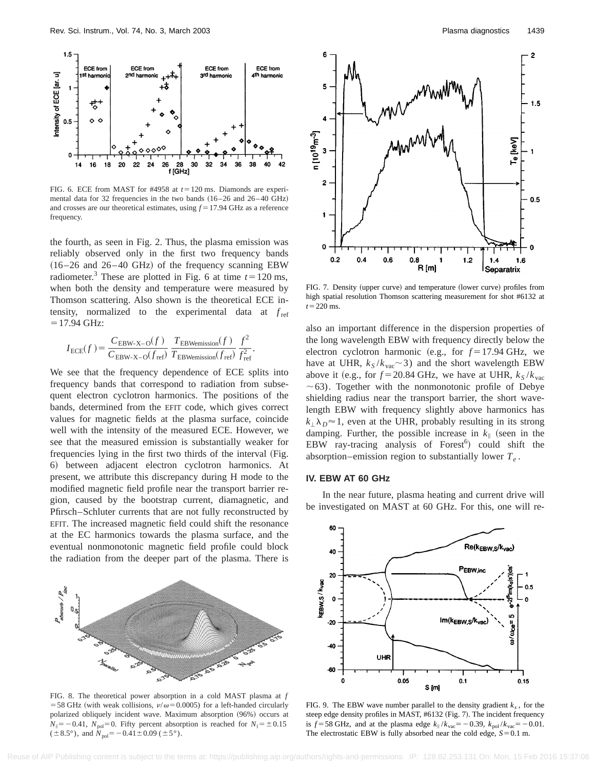

FIG. 6. ECE from MAST for #4958 at  $t=120$  ms. Diamonds are experimental data for 32 frequencies in the two bands  $(16–26$  and  $26–40$  GHz) and crosses are our theoretical estimates, using  $f = 17.94$  GHz as a reference frequency.

the fourth, as seen in Fig. 2. Thus, the plasma emission was reliably observed only in the first two frequency bands  $(16–26$  and  $26–40$  GHz) of the frequency scanning EBW radiometer.<sup>3</sup> These are plotted in Fig. 6 at time  $t=120$  ms, when both the density and temperature were measured by Thomson scattering. Also shown is the theoretical ECE intensity, normalized to the experimental data at  $f_{ref}$  $= 17.94$  GHz:

$$
I_{\text{ECE}}(f) = \frac{C_{\text{EBW-X-O}}(f)}{C_{\text{EBW-X-O}}(f_{\text{ref}})} \frac{T_{\text{EBWemission}}(f)}{T_{\text{EBWemission}}(f_{\text{ref}})} \frac{f^2}{f_{\text{ref}}^2}.
$$

We see that the frequency dependence of ECE splits into frequency bands that correspond to radiation from subsequent electron cyclotron harmonics. The positions of the bands, determined from the EFIT code, which gives correct values for magnetic fields at the plasma surface, coincide well with the intensity of the measured ECE. However, we see that the measured emission is substantially weaker for frequencies lying in the first two thirds of the interval (Fig. 6! between adjacent electron cyclotron harmonics. At present, we attribute this discrepancy during H mode to the modified magnetic field profile near the transport barrier region, caused by the bootstrap current, diamagnetic, and Pfirsch–Schluter currents that are not fully reconstructed by EFIT. The increased magnetic field could shift the resonance at the EC harmonics towards the plasma surface, and the eventual nonmonotonic magnetic field profile could block the radiation from the deeper part of the plasma. There is



FIG. 8. The theoretical power absorption in a cold MAST plasma at *f* =58 GHz (with weak collisions,  $v/\omega$ =0.0005) for a left-handed circularly polarized obliquely incident wave. Maximum absorption (96%) occurs at  $N_{\parallel}$ = -0.41,  $N_{\text{pol}}$ = 0. Fifty percent absorption is reached for  $N_{\parallel}$ = ±0.15  $(\pm 8.5^{\circ})$ , and  $N_{pol}$ = - 0.41  $\pm$  0.09 ( $\pm$  5°).



FIG. 7. Density (upper curve) and temperature (lower curve) profiles from high spatial resolution Thomson scattering measurement for shot #6132 at  $t = 220$  ms.

also an important difference in the dispersion properties of the long wavelength EBW with frequency directly below the electron cyclotron harmonic (e.g., for  $f = 17.94$  GHz, we have at UHR,  $k_S / k_{\text{vac}}$  3) and the short wavelength EBW above it (e.g., for  $f = 20.84$  GHz, we have at UHR,  $k_S / k_{vac}$  $\sim$  63). Together with the nonmonotonic profile of Debye shielding radius near the transport barrier, the short wavelength EBW with frequency slightly above harmonics has  $k_{\perp}$  $\lambda_D$ <sup> $\approx$ </sup>1, even at the UHR, probably resulting in its strong damping. Further, the possible increase in  $k_{\parallel}$  (seen in the EBW ray-tracing analysis of Forest $^6$ ) could shift the absorption–emission region to substantially lower  $T_e$ .

### **IV. EBW AT 60 GHz**

In the near future, plasma heating and current drive will be investigated on MAST at 60 GHz. For this, one will re-



FIG. 9. The EBW wave number parallel to the density gradient  $k<sub>s</sub>$ , for the steep edge density profiles in MAST, #6132 (Fig. 7). The incident frequency is *f* = 58 GHz, and at the plasma edge  $k_{\parallel}/k_{\text{vac}} = -0.39$ ,  $k_{\text{pol}}/k_{\text{vac}} = -0.01$ . The electrostatic EBW is fully absorbed near the cold edge,  $S=0.1$  m.